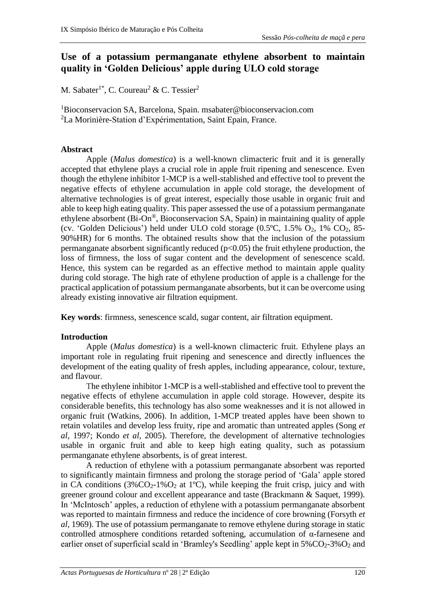# **Use of a potassium permanganate ethylene absorbent to maintain quality in 'Golden Delicious' apple during ULO cold storage**

M. Sabater<sup>1\*</sup>, C. Coureau<sup>2</sup> & C. Tessier<sup>2</sup>

<sup>1</sup>Bioconservacion SA, Barcelona, Spain. msabater@bioconservacion.com <sup>2</sup>La Morinière-Station d'Expérimentation, Saint Epain, France.

## **Abstract**

Apple (*Malus domestica*) is a well-known climacteric fruit and it is generally accepted that ethylene plays a crucial role in apple fruit ripening and senescence. Even though the ethylene inhibitor 1-MCP is a well-stablished and effective tool to prevent the negative effects of ethylene accumulation in apple cold storage, the development of alternative technologies is of great interest, especially those usable in organic fruit and able to keep high eating quality. This paper assessed the use of a potassium permanganate ethylene absorbent (Bi-On®, Bioconservacion SA, Spain) in maintaining quality of apple (cv. 'Golden Delicious') held under ULO cold storage  $(0.5^{\circ}C, 1.5\% O_2, 1\% CO_2, 85-$ 90%HR) for 6 months. The obtained results show that the inclusion of the potassium permanganate absorbent significantly reduced  $(p<0.05)$  the fruit ethylene production, the loss of firmness, the loss of sugar content and the development of senescence scald. Hence, this system can be regarded as an effective method to maintain apple quality during cold storage. The high rate of ethylene production of apple is a challenge for the practical application of potassium permanganate absorbents, but it can be overcome using already existing innovative air filtration equipment.

**Key words**: firmness, senescence scald, sugar content, air filtration equipment.

# **Introduction**

Apple (*Malus domestica*) is a well-known climacteric fruit. Ethylene plays an important role in regulating fruit ripening and senescence and directly influences the development of the eating quality of fresh apples, including appearance, colour, texture, and flavour.

The ethylene inhibitor 1-MCP is a well-stablished and effective tool to prevent the negative effects of ethylene accumulation in apple cold storage. However, despite its considerable benefits, this technology has also some weaknesses and it is not allowed in organic fruit (Watkins, 2006). In addition, 1-MCP treated apples have been shown to retain volatiles and develop less fruity, ripe and aromatic than untreated apples (Song *et al*, 1997; Kondo *et al*, 2005). Therefore, the development of alternative technologies usable in organic fruit and able to keep high eating quality, such as potassium permanganate ethylene absorbents, is of great interest.

A reduction of ethylene with a potassium permanganate absorbent was reported to significantly maintain firmness and prolong the storage period of 'Gala' apple stored in CA conditions  $(3\%CO_{2} - 1\%O_{2}$  at 1<sup>o</sup>C), while keeping the fruit crisp, juicy and with greener ground colour and excellent appearance and taste (Brackmann & Saquet, 1999). In 'McIntosch' apples, a reduction of ethylene with a potassium permanganate absorbent was reported to maintain firmness and reduce the incidence of core browning (Forsyth *et al*, 1969). The use of potassium permanganate to remove ethylene during storage in static controlled atmosphere conditions retarded softening, accumulation of α-farnesene and earlier onset of superficial scald in 'Bramley's Seedling' apple kept in  $5\%CO_2-3\%O_2$  and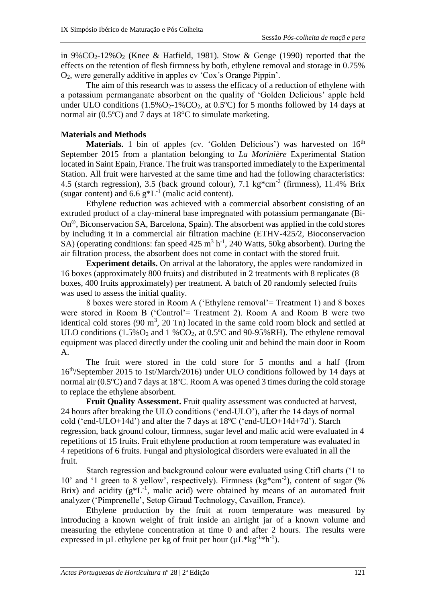in 9%CO<sub>2</sub>-12%O<sub>2</sub> (Knee & Hatfield, 1981). Stow & Genge (1990) reported that the effects on the retention of flesh firmness by both, ethylene removal and storage in 0.75% O2, were generally additive in apples cv 'Cox´s Orange Pippin'.

The aim of this research was to assess the efficacy of a reduction of ethylene with a potassium permanganate absorbent on the quality of 'Golden Delicious' apple held under ULO conditions  $(1.5\%O_2-1\%CO_2$ , at 0.5°C) for 5 months followed by 14 days at normal air (0.5ºC) and 7 days at 18°C to simulate marketing.

## **Materials and Methods**

**Materials.** 1 bin of apples (cv. 'Golden Delicious') was harvested on 16<sup>th</sup> September 2015 from a plantation belonging to *La Morinière* Experimental Station located in Saint Epain, France. The fruit was transported immediately to the Experimental Station. All fruit were harvested at the same time and had the following characteristics: 4.5 (starch regression), 3.5 (back ground colour), 7.1 kg $*cm^{-2}$  (firmness), 11.4% Brix (sugar content) and  $6.6 \text{ g}^*L^{-1}$  (malic acid content).

Ethylene reduction was achieved with a commercial absorbent consisting of an extruded product of a clay-mineral base impregnated with potassium permanganate (Bi- $On^{\circledR}$ , Biconservacion SA, Barcelona, Spain). The absorbent was applied in the cold stores by including it in a commercial air filtration machine (ETHV-425/2, Bioconservacion SA) (operating conditions: fan speed  $425 \text{ m}^3 \text{ h}^{-1}$ , 240 Watts, 50kg absorbent). During the air filtration process, the absorbent does not come in contact with the stored fruit.

**Experiment details.** On arrival at the laboratory, the apples were randomized in 16 boxes (approximately 800 fruits) and distributed in 2 treatments with 8 replicates (8 boxes, 400 fruits approximately) per treatment. A batch of 20 randomly selected fruits was used to assess the initial quality.

8 boxes were stored in Room A ('Ethylene removal'= Treatment 1) and 8 boxes were stored in Room B ('Control'= Treatment 2). Room A and Room B were two identical cold stores  $(90 \text{ m}^3, 20 \text{ Tn})$  located in the same cold room block and settled at ULO conditions  $(1.5\%O_2$  and  $1\%CO_2$ , at 0.5°C and 90-95%RH). The ethylene removal equipment was placed directly under the cooling unit and behind the main door in Room A.

The fruit were stored in the cold store for 5 months and a half (from 16th/September 2015 to 1st/March/2016) under ULO conditions followed by 14 days at normal air (0.5ºC) and 7 days at 18ºC. Room A was opened 3 times during the cold storage to replace the ethylene absorbent.

**Fruit Quality Assessment.** Fruit quality assessment was conducted at harvest, 24 hours after breaking the ULO conditions ('end-ULO'), after the 14 days of normal cold ('end-ULO+14d') and after the 7 days at 18ºC ('end-ULO+14d+7d'). Starch regression, back ground colour, firmness, sugar level and malic acid were evaluated in 4 repetitions of 15 fruits. Fruit ethylene production at room temperature was evaluated in 4 repetitions of 6 fruits. Fungal and physiological disorders were evaluated in all the fruit.

Starch regression and background colour were evaluated using Ctifl charts ('1 to 10' and '1 green to 8 yellow', respectively). Firmness (kg\*cm<sup>-2</sup>), content of sugar (% Brix) and acidity  $(g *L^{-1})$ , malic acid) were obtained by means of an automated fruit analyzer ('Pimprenelle', Setop Giraud Technology, Cavaillon, France).

Ethylene production by the fruit at room temperature was measured by introducing a known weight of fruit inside an airtight jar of a known volume and measuring the ethylene concentration at time 0 and after 2 hours. The results were expressed in  $\mu$ L ethylene per kg of fruit per hour ( $\mu$ L\*kg<sup>-1\*h-1</sup>).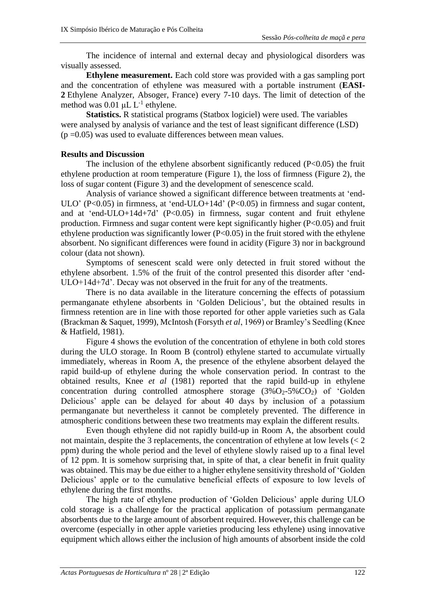The incidence of internal and external decay and physiological disorders was visually assessed.

**Ethylene measurement.** Each cold store was provided with a gas sampling port and the concentration of ethylene was measured with a portable instrument (**EASI-2** Ethylene Analyzer, Absoger, France) every 7-10 days. The limit of detection of the method was  $0.01 \mu L L^{-1}$  ethylene.

**Statistics.** R statistical programs (Statbox logiciel) were used. The variables were analysed by analysis of variance and the test of least significant difference (LSD)  $(p=0.05)$  was used to evaluate differences between mean values.

#### **Results and Discussion**

The inclusion of the ethylene absorbent significantly reduced  $(P<0.05)$  the fruit ethylene production at room temperature (Figure 1), the loss of firmness (Figure 2), the loss of sugar content (Figure 3) and the development of senescence scald.

Analysis of variance showed a significant difference between treatments at 'end-ULO' (P<0.05) in firmness, at 'end-ULO+14d' (P<0.05) in firmness and sugar content, and at 'end-ULO+14d+7d'  $(P<0.05)$  in firmness, sugar content and fruit ethylene production. Firmness and sugar content were kept significantly higher (P<0.05) and fruit ethylene production was significantly lower  $(P<0.05)$  in the fruit stored with the ethylene absorbent. No significant differences were found in acidity (Figure 3) nor in background colour (data not shown).

Symptoms of senescent scald were only detected in fruit stored without the ethylene absorbent. 1.5% of the fruit of the control presented this disorder after 'end-ULO+14d+7d'. Decay was not observed in the fruit for any of the treatments.

There is no data available in the literature concerning the effects of potassium permanganate ethylene absorbents in 'Golden Delicious', but the obtained results in firmness retention are in line with those reported for other apple varieties such as Gala (Brackman & Saquet, 1999), McIntosh (Forsyth *et al*, 1969) or Bramley's Seedling (Knee & Hatfield, 1981).

Figure 4 shows the evolution of the concentration of ethylene in both cold stores during the ULO storage. In Room B (control) ethylene started to accumulate virtually immediately, whereas in Room A, the presence of the ethylene absorbent delayed the rapid build-up of ethylene during the whole conservation period. In contrast to the obtained results, Knee *et al* (1981) reported that the rapid build-up in ethylene concentration during controlled atmosphere storage  $(3\sqrt{O_{2}}-5\sqrt{CO_{2}})$  of 'Golden Delicious' apple can be delayed for about 40 days by inclusion of a potassium permanganate but nevertheless it cannot be completely prevented. The difference in atmospheric conditions between these two treatments may explain the different results.

Even though ethylene did not rapidly build-up in Room A, the absorbent could not maintain, despite the 3 replacements, the concentration of ethylene at low levels (< 2 ppm) during the whole period and the level of ethylene slowly raised up to a final level of 12 ppm. It is somehow surprising that, in spite of that, a clear benefit in fruit quality was obtained. This may be due either to a higher ethylene sensitivity threshold of 'Golden Delicious' apple or to the cumulative beneficial effects of exposure to low levels of ethylene during the first months.

The high rate of ethylene production of 'Golden Delicious' apple during ULO cold storage is a challenge for the practical application of potassium permanganate absorbents due to the large amount of absorbent required. However, this challenge can be overcome (especially in other apple varieties producing less ethylene) using innovative equipment which allows either the inclusion of high amounts of absorbent inside the cold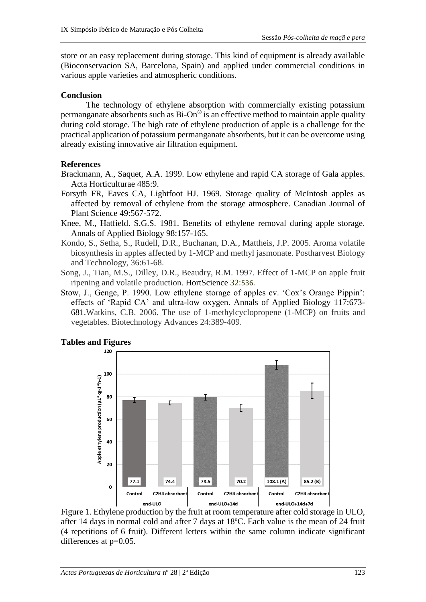store or an easy replacement during storage. This kind of equipment is already available (Bioconservacion SA, Barcelona, Spain) and applied under commercial conditions in various apple varieties and atmospheric conditions.

#### **Conclusion**

The technology of ethylene absorption with commercially existing potassium permanganate absorbents such as  $Bi\text{-}On^{\circledast}$  is an effective method to maintain apple quality during cold storage. The high rate of ethylene production of apple is a challenge for the practical application of potassium permanganate absorbents, but it can be overcome using already existing innovative air filtration equipment.

### **References**

- Brackmann, A., Saquet, A.A. 1999. Low ethylene and rapid CA storage of Gala apples. Acta Horticulturae 485:9.
- Forsyth FR, Eaves CA, Lightfoot HJ. 1969. Storage quality of McIntosh apples as affected by removal of ethylene from the storage atmosphere. Canadian Journal of Plant Science 49:567-572.
- Knee, M., Hatfield. S.G.S. 1981. Benefits of ethylene removal during apple storage. Annals of Applied Biology 98:157-165.
- Kondo, S., Setha, S., Rudell, D.R., Buchanan, D.A., Mattheis, J.P. 2005. Aroma volatile biosynthesis in apples affected by 1-MCP and methyl jasmonate. Postharvest Biology and Technology, 36:61-68.
- Song, J., Tian, M.S., Dilley, D.R., Beaudry, R.M. 1997. Effect of 1-MCP on apple fruit ripening and volatile production. HortScience 32:536.
- Stow, J., Genge, P. 1990. Low ethylene storage of apples cv. 'Cox's Orange Pippin': effects of 'Rapid CA' and ultra-low oxygen. Annals of Applied Biology 117:673- 681.Watkins, C.B. 2006. The use of 1-methylcyclopropene (1-MCP) on fruits and vegetables. Biotechnology Advances 24:389-409.



# **Tables and Figures**

Figure 1. Ethylene production by the fruit at room temperature after cold storage in ULO, after 14 days in normal cold and after 7 days at 18ºC. Each value is the mean of 24 fruit (4 repetitions of 6 fruit). Different letters within the same column indicate significant differences at  $p=0.05$ .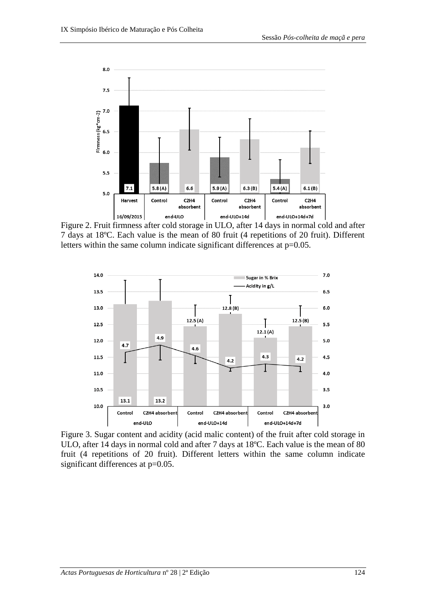

Figure 2. Fruit firmness after cold storage in ULO, after 14 days in normal cold and after 7 days at 18ºC. Each value is the mean of 80 fruit (4 repetitions of 20 fruit). Different letters within the same column indicate significant differences at  $p=0.05$ .



Figure 3. Sugar content and acidity (acid malic content) of the fruit after cold storage in ULO, after 14 days in normal cold and after 7 days at 18ºC. Each value is the mean of 80 fruit (4 repetitions of 20 fruit). Different letters within the same column indicate significant differences at  $p=0.05$ .